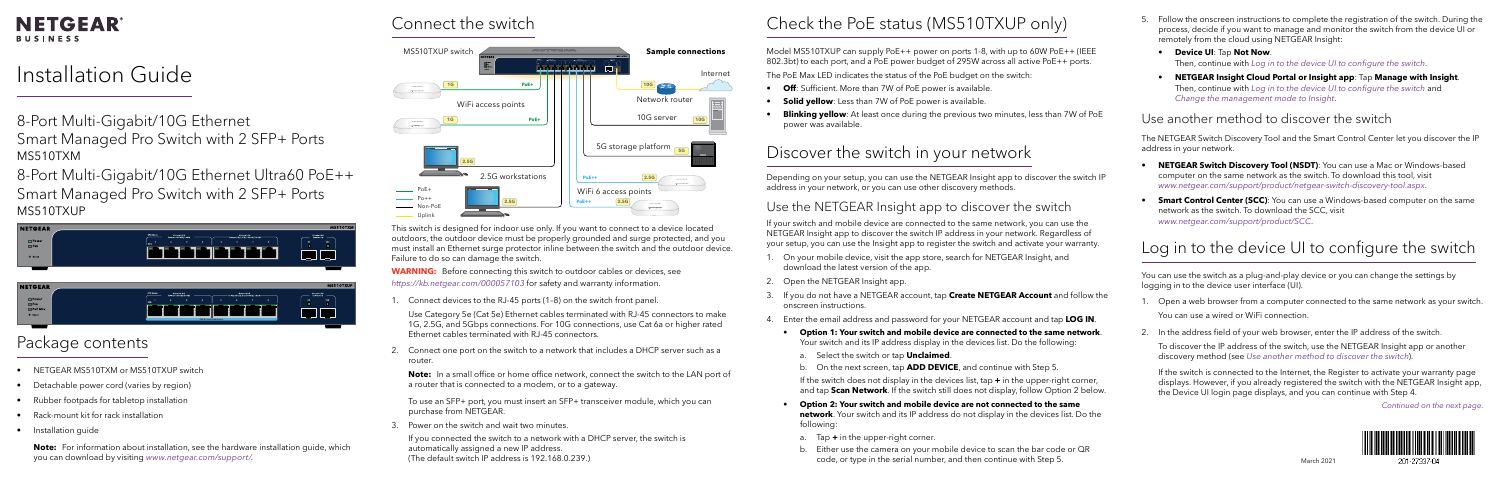#### **NETGEAR BUSINESS**

# Installation Guide

- 8-Port Multi-Gigabit/10G Ethernet Smart Managed Pro Switch with 2 SFP+ Ports MS510TXM
- 8-Port Multi-Gigabit/10G Ethernet Ultra60 PoE++ Smart Managed Pro Switch with 2 SFP+ Ports MS510TXUP
- Model MS510TXUP can supply PoE++ power on ports 1-8, with up to 60W PoE++ (IEEE 802.3bt) to each port, and a PoE power budget of 295W across all active PoE++ ports.
- The PoE Max LED indicates the status of the PoE budget on the switch:
	- **Off**: Sufficient. More than 7W of PoE power is available.
- **Solid yellow**: Less than 7W of PoE power is available.
- **Blinking yellow**: At least once during the previous two minutes, less than 7W of PoE

| <b>NETGEAR</b>                          | SPD Mode:                                                                                                                                              | MS510TXM                                      |
|-----------------------------------------|--------------------------------------------------------------------------------------------------------------------------------------------------------|-----------------------------------------------|
| $\Box$ Power<br>E Fan<br><b>B</b> Reset | Green=10G<br>Green=2.5G<br>Yellow=1000M/100M<br>Vellow=5G/2.5G/1000M/100M-<br>$\cdot$ s<br>$\bullet$<br>$\mathbf{2}$<br>-6<br>-7<br>seo.<br>___<br>--- | Green-10G<br>Yellow-1G<br>25<br>108<br>п<br>۰ |
|                                         |                                                                                                                                                        |                                               |
| <b>INTERNATIONAL</b>                    |                                                                                                                                                        | <b>MCESOTVIID</b>                             |

| SPD Mode:<br>Green=10G<br>Green 2.5G<br>Green=10G<br>Yellow=5G/2.5G/1000M/100M-<br>Yellow=1000M/100M<br>Yellow=16<br>$\Box$ Power<br>9F<br>10F<br><b>SPD</b><br>-<br>٠<br><b>El Fan</b><br>PoE Max<br><b>C</b> Reset<br>PoE 60 watts/port max. | <b>NETGEAR</b> | MS510TXUP |
|------------------------------------------------------------------------------------------------------------------------------------------------------------------------------------------------------------------------------------------------|----------------|-----------|
|                                                                                                                                                                                                                                                |                |           |

### Connect the switch

201-27337-04

# Check the PoE status (MS510TXUP only)

- 
- 

power was available.

# Discover the switch in your network

If your switch and mobile device are connected to the same network, you can use the NETGEAR Insight app to discover the switch IP address in your network. Regardless of your setup, you can use the Insight app to register the switch and activate your warranty.

- 
- 2. Open the NETGEAR Insight app.
- onscreen instructions.
- 4. Enter the email address and password for your NETGEAR account and tap **LOG IN**.

- 
- 

- 1. On your mobile device, visit the app store, search for NETGEAR Insight, and download the latest version of the app.
- 3. If you do not have a NETGEAR account, tap **Create NETGEAR Account** and follow the
	- **Option 1: Your switch and mobile device are connected to the same network**.
	- Your switch and its IP address display in the devices list. Do the following:
	- a. Select the switch or tap **Unclaimed**.
	- b. On the next screen, tap **ADD DEVICE**, and continue with Step 5.
	- If the switch does not display in the devices list, tap **+** in the upper-right corner, and tap **Scan Network**. If the switch still does not display, follow Option 2 below.
	- **Option 2: Your switch and mobile device are not connected to the same**
	- **network**. Your switch and its IP address do not display in the devices list. Do the

**WARNING:** Before connecting this switch to outdoor cables or devices, see *<https://kb.netgear.com/000057103>* for safety and warranty information.

# following:

- a. Tap **+** in the upper-right corner.
- b. Either use the camera on your mobile device to scan the bar code or QR code, or type in the serial number, and then continue with Step 5.
- 5. Follow the onscreen instructions to complete the registration of the switch. During the process, decide if you want to manage and monitor the switch from the device UI or remotely from the cloud using NETGEAR Insight:
	- **Device UI**: Tap **Not Now**. Then, continue with *[Log in to the device UI to configure the switch](#page-0-0)*.
	- **NETGEAR Insight Cloud Portal or Insight app**: Tap **Manage with Insight**. Then, continue with *[Log in to the device UI to configure the switch](#page-0-0)* and *[Change the management mode to Insight](#page-1-0)*.

#### <span id="page-0-0"></span>Log in to the device UI to configure the switch

You can use the switch as a plug-and-play device or you can change the settings by logging in to the device user interface (UI).

- 1. Open a web browser from a computer connected to the same network as your switch. You can use a wired or WiFi connection.
- 2. In the address field of your web browser, enter the IP address of the switch. To discover the IP address of the switch, use the NETGEAR Insight app or another discovery method (see *[Use another method to discover the switch](#page-0-1)*).

If the switch is connected to the Internet, the Register to activate your warranty page displays. However, if you already registered the switch with the NETGEAR Insight app, the Device UI login page displays, and you can continue with Step 4.

#### *Continued on the next page.*



This switch is designed for indoor use only. If you want to connect to a device located outdoors, the outdoor device must be properly grounded and surge protected, and you must install an Ethernet surge protector inline between the switch and the outdoor device. Failure to do so can damage the switch.

1. Connect devices to the RJ-45 ports (1–8) on the switch front panel.

Use Category 5e (Cat 5e) Ethernet cables terminated with RJ-45 connectors to make 1G, 2.5G, and 5Gbps connections. For 10G connections, use Cat 6a or higher rated Ethernet cables terminated with RJ-45 connectors.

2. Connect one port on the switch to a network that includes a DHCP server such as a router.

**Note:** In a small office or home office network, connect the switch to the LAN port of a router that is connected to a modem, or to a gateway.

To use an SFP+ port, you must insert an SFP+ transceiver module, which you can purchase from NETGEAR.

3. Power on the switch and wait two minutes.

If you connected the switch to a network with a DHCP server, the switch is automatically assigned a new IP address. (The default switch IP address is 192.168.0.239.)

# Package contents

The NETGEAR Switch Discovery Tool and the Smart Control Center let you discover the IP address in your network.

- **NETGEAR Switch Discovery Tool (NSDT)**: You can use a Mac or Windows-based computer on the same network as the switch. To download this tool, visit *[www.netgear.com/support/product/netgear-switch-discovery-tool.aspx](https://www.netgear.com/support/product/netgear-switch-discovery-tool.aspx)*.
- **Smart Control Center (SCC)**: You can use a Windows-based computer on the same network as the switch. To download the SCC, visit *[www.netgear.com/support/product/SCC](https://www.netgear.com/support/product/SCC)*.

#### <span id="page-0-1"></span>Use another method to discover the switch

### Use the NETGEAR Insight app to discover the switch

Depending on your setup, you can use the NETGEAR Insight app to discover the switch IP address in your network, or you can use other discovery methods.

- NETGEAR MS510TXM or MS510TXUP switch
- Detachable power cord (varies by region)
- Rubber footpads for tabletop installation
- Rack-mount kit for rack installation
- Installation guide

**Note:** For information about installation, see the hardware installation guide, which you can download by visiting *[www.netgear.com/support/](https://www.netgear.com/support/)*.